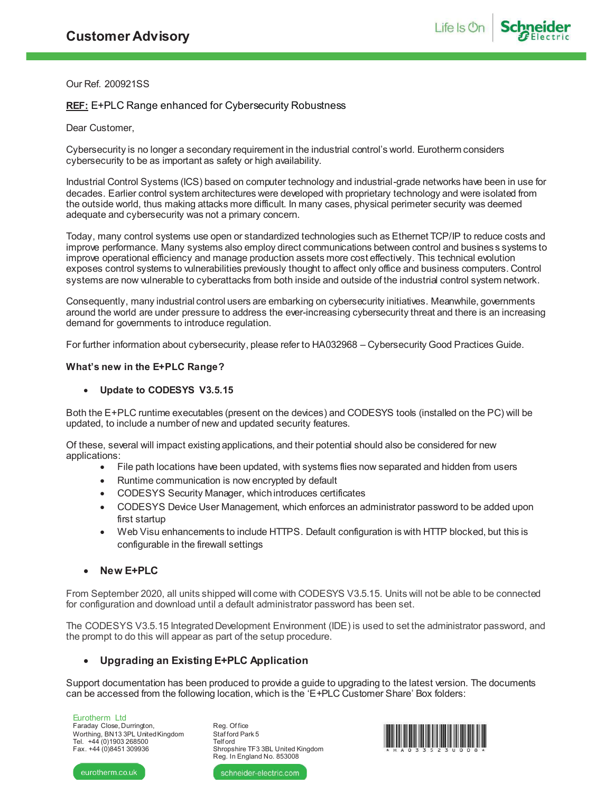Our Ref. 200921SS

# **REF:** E+PLC Range enhanced for Cybersecurity Robustness

## Dear Customer,

Cybersecurity is no longer a secondary requirement in the industrial control's world. Eurotherm considers cybersecurity to be as important as safety or high availability.

Industrial Control Systems (ICS) based on computer technology and industrial-grade networks have been in use for decades. Earlier control system architectures were developed with proprietary technology and were isolated from the outside world, thus making attacks more difficult. In many cases, physical perimeter security was deemed adequate and cybersecurity was not a primary concern.

Today, many control systems use open or standardized technologies such as Ethernet TCP/IP to reduce costs and improve performance. Many systems also employ direct communications between control and business systems to improve operational efficiency and manage production assets more cost effectively. This technical evolution exposes control systems to vulnerabilities previously thought to affect only office and business computers. Control systems are now vulnerable to cyberattacks from both inside and outside of the industrial control system network.

Consequently, many industrial control users are embarking on cybersecurity initiatives. Meanwhile, governments around the world are under pressure to address the ever-increasing cybersecurity threat and there is an increasing demand for governments to introduce regulation.

For further information about cybersecurity, please refer to HA032968 – Cybersecurity Good Practices Guide.

## **What's new in the E+PLC Range?**

## · **Update to CODESYS V3.5.15**

Both the E+PLC runtime executables (present on the devices) and CODESYS tools (installed on the PC) will be updated, to include a number of new and updated security features.

Of these, several will impact existing applications, and their potential should also be considered for new applications:

- · File path locations have been updated, with systems flies now separated and hidden from users
- Runtime communication is now encrypted by default
- · CODESYS Security Manager, which introduces certificates
- · CODESYS Device User Management, which enforces an administrator password to be added upon first startup
- · Web Visu enhancements to include HTTPS. Default configuration is with HTTP blocked, but this is configurable in the firewall settings
- · **New E+PLC**

From September 2020, all units shipped will come with CODESYS V3.5.15. Units will not be able to be connected for configuration and download until a default administrator password has been set.

The CODESYS V3.5.15 Integrated Development Environment (IDE) is used to set the administrator password, and the prompt to do this will appear as part of the setup procedure.

# · **Upgrading an Existing E+PLC Application**

Support documentation has been produced to provide a guide to upgrading to the latest version. The documents can be accessed from the following location, which is the 'E+PLC Customer Share' Box folders:

Eurotherm Ltd Faraday Close, Durrington, Worthing, BN13 3PL United Kingdom Tel. +44 (0)1903 268500 Fax. +44 (0)8451 309936

Reg. Of fice Staf ford Park 5 Telf ord Shropshire TF3 3BL United Kingdom Reg. In England No. 853008



eurotherm.co.uk